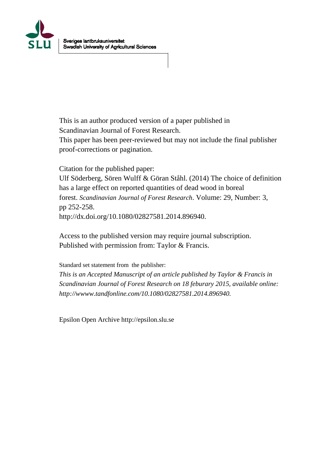

This is an author produced version of a paper published in Scandinavian Journal of Forest Research. This paper has been peer-reviewed but may not include the final publisher proof-corrections or pagination.

Citation for the published paper:

Ulf Söderberg, Sören Wulff & Göran Ståhl. (2014) The choice of definition has a large effect on reported quantities of dead wood in boreal forest. *Scandinavian Journal of Forest Research*. Volume: 29, Number: 3, pp 252-258. http://dx.doi.org/10.1080/02827581.2014.896940.

Access to the published version may require journal subscription. Published with permission from: Taylor & Francis.

Standard set statement from the publisher:

*This is an Accepted Manuscript of an article published by Taylor & Francis in Scandinavian Journal of Forest Research on 18 feburary 2015, available online: http://wwww.tandfonline.com/10.1080/02827581.2014.896940.*

Epsilon Open Archive http://epsilon.slu.se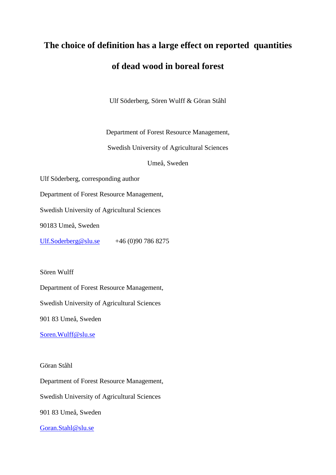# **The choice of definition has a large effect on reported quantities of dead wood in boreal forest**

Ulf Söderberg, Sören Wulff & Göran Ståhl

Department of Forest Resource Management,

Swedish University of Agricultural Sciences

Umeå, Sweden

Ulf Söderberg, corresponding author

Department of Forest Resource Management,

Swedish University of Agricultural Sciences

90183 Umeå, Sweden

[Ulf.Soderberg@slu.se](mailto:Ulf.Soderberg@slu.se) +46 (0)90 786 8275

Sören Wulff

Department of Forest Resource Management,

Swedish University of Agricultural Sciences

901 83 Umeå, Sweden

[Soren.Wulff@slu.se](mailto:Soren.Wulff@slu.se)

Göran Ståhl

Department of Forest Resource Management,

Swedish University of Agricultural Sciences

901 83 Umeå, Sweden

[Goran.Stahl@slu.se](mailto:Goran.Stahl@slu.se)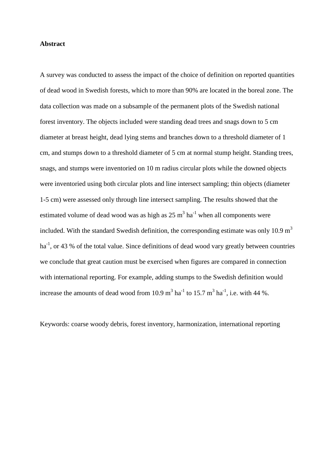## **Abstract**

A survey was conducted to assess the impact of the choice of definition on reported quantities of dead wood in Swedish forests, which to more than 90% are located in the boreal zone. The data collection was made on a subsample of the permanent plots of the Swedish national forest inventory. The objects included were standing dead trees and snags down to 5 cm diameter at breast height, dead lying stems and branches down to a threshold diameter of 1 cm, and stumps down to a threshold diameter of 5 cm at normal stump height. Standing trees, snags, and stumps were inventoried on 10 m radius circular plots while the downed objects were inventoried using both circular plots and line intersect sampling; thin objects (diameter 1-5 cm) were assessed only through line intersect sampling. The results showed that the estimated volume of dead wood was as high as  $25 \text{ m}^3 \text{ ha}^{-1}$  when all components were included. With the standard Swedish definition, the corresponding estimate was only 10.9  $m<sup>3</sup>$ ha<sup>-1</sup>, or 43 % of the total value. Since definitions of dead wood vary greatly between countries we conclude that great caution must be exercised when figures are compared in connection with international reporting. For example, adding stumps to the Swedish definition would increase the amounts of dead wood from 10.9  $m^3$  ha<sup>-1</sup> to 15.7  $m^3$  ha<sup>-1</sup>, i.e. with 44 %.

Keywords: coarse woody debris, forest inventory, harmonization, international reporting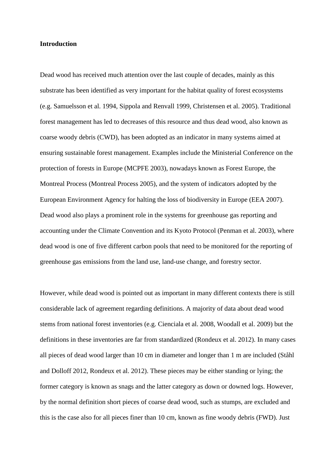## **Introduction**

Dead wood has received much attention over the last couple of decades, mainly as this substrate has been identified as very important for the habitat quality of forest ecosystems (e.g. Samuelsson et al. 1994, Sippola and Renvall 1999, Christensen et al. 2005). Traditional forest management has led to decreases of this resource and thus dead wood, also known as coarse woody debris (CWD), has been adopted as an indicator in many systems aimed at ensuring sustainable forest management. Examples include the Ministerial Conference on the protection of forests in Europe (MCPFE 2003), nowadays known as Forest Europe, the Montreal Process (Montreal Process 2005), and the system of indicators adopted by the European Environment Agency for halting the loss of biodiversity in Europe (EEA 2007). Dead wood also plays a prominent role in the systems for greenhouse gas reporting and accounting under the Climate Convention and its Kyoto Protocol (Penman et al. 2003), where dead wood is one of five different carbon pools that need to be monitored for the reporting of greenhouse gas emissions from the land use, land-use change, and forestry sector.

However, while dead wood is pointed out as important in many different contexts there is still considerable lack of agreement regarding definitions. A majority of data about dead wood stems from national forest inventories (e.g. Cienciala et al. 2008, Woodall et al. 2009) but the definitions in these inventories are far from standardized (Rondeux et al. 2012). In many cases all pieces of dead wood larger than 10 cm in diameter and longer than 1 m are included (Ståhl and Dolloff 2012, Rondeux et al. 2012). These pieces may be either standing or lying; the former category is known as snags and the latter category as down or downed logs. However, by the normal definition short pieces of coarse dead wood, such as stumps, are excluded and this is the case also for all pieces finer than 10 cm, known as fine woody debris (FWD). Just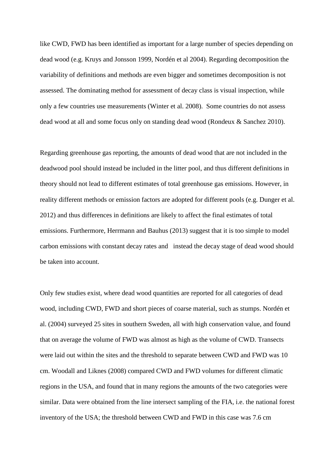like CWD, FWD has been identified as important for a large number of species depending on dead wood (e.g. Kruys and Jonsson 1999, Nordén et al 2004). Regarding decomposition the variability of definitions and methods are even bigger and sometimes decomposition is not assessed. The dominating method for assessment of decay class is visual inspection, while only a few countries use measurements (Winter et al. 2008). Some countries do not assess dead wood at all and some focus only on standing dead wood (Rondeux & Sanchez 2010).

Regarding greenhouse gas reporting, the amounts of dead wood that are not included in the deadwood pool should instead be included in the litter pool, and thus different definitions in theory should not lead to different estimates of total greenhouse gas emissions. However, in reality different methods or emission factors are adopted for different pools (e.g. Dunger et al. 2012) and thus differences in definitions are likely to affect the final estimates of total emissions. Furthermore, Herrmann and Bauhus (2013) suggest that it is too simple to model carbon emissions with constant decay rates and instead the decay stage of dead wood should be taken into account.

Only few studies exist, where dead wood quantities are reported for all categories of dead wood, including CWD, FWD and short pieces of coarse material, such as stumps. Nordén et al. (2004) surveyed 25 sites in southern Sweden, all with high conservation value, and found that on average the volume of FWD was almost as high as the volume of CWD. Transects were laid out within the sites and the threshold to separate between CWD and FWD was 10 cm. Woodall and Liknes (2008) compared CWD and FWD volumes for different climatic regions in the USA, and found that in many regions the amounts of the two categories were similar. Data were obtained from the line intersect sampling of the FIA, i.e. the national forest inventory of the USA; the threshold between CWD and FWD in this case was 7.6 cm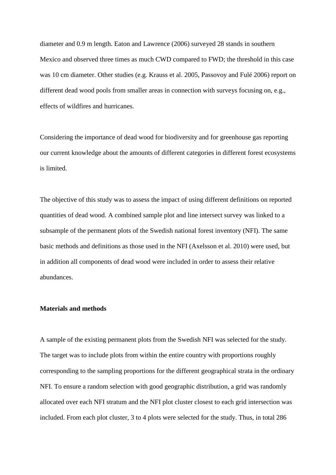diameter and 0.9 m length. Eaton and Lawrence (2006) surveyed 28 stands in southern Mexico and observed three times as much CWD compared to FWD; the threshold in this case was 10 cm diameter. Other studies (e.g. Krauss et al. 2005, Passovoy and Fulé 2006) report on different dead wood pools from smaller areas in connection with surveys focusing on, e.g., effects of wildfires and hurricanes.

Considering the importance of dead wood for biodiversity and for greenhouse gas reporting our current knowledge about the amounts of different categories in different forest ecosystems is limited.

The objective of this study was to assess the impact of using different definitions on reported quantities of dead wood. A combined sample plot and line intersect survey was linked to a subsample of the permanent plots of the Swedish national forest inventory (NFI). The same basic methods and definitions as those used in the NFI (Axelsson et al. 2010) were used, but in addition all components of dead wood were included in order to assess their relative abundances.

## **Materials and methods**

A sample of the existing permanent plots from the Swedish NFI was selected for the study. The target was to include plots from within the entire country with proportions roughly corresponding to the sampling proportions for the different geographical strata in the ordinary NFI. To ensure a random selection with good geographic distribution, a grid was randomly allocated over each NFI stratum and the NFI plot cluster closest to each grid intersection was included. From each plot cluster, 3 to 4 plots were selected for the study. Thus, in total 286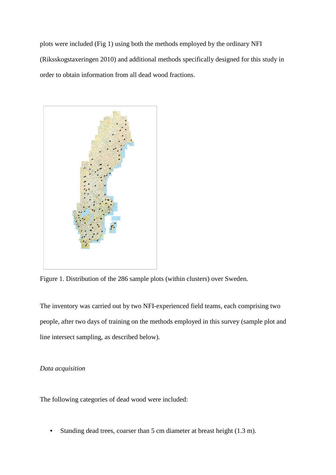plots were included (Fig 1) using both the methods employed by the ordinary NFI (Riksskogstaxeringen 2010) and additional methods specifically designed for this study in order to obtain information from all dead wood fractions.



Figure 1. Distribution of the 286 sample plots (within clusters) over Sweden.

The inventory was carried out by two NFI-experienced field teams, each comprising two people, after two days of training on the methods employed in this survey (sample plot and line intersect sampling, as described below).

## *Data acquisition*

The following categories of dead wood were included:

• Standing dead trees, coarser than 5 cm diameter at breast height (1.3 m).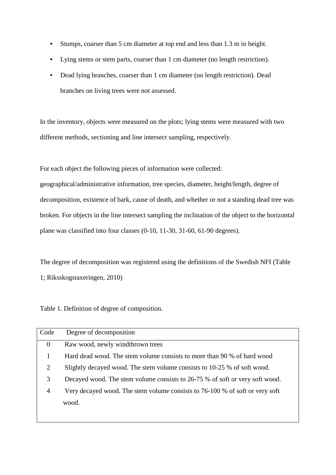- Stumps, coarser than 5 cm diameter at top end and less than 1.3 m in height.
- Lying stems or stem parts, coarser than 1 cm diameter (no length restriction).
- Dead lying branches, coarser than 1 cm diameter (no length restriction). Dead branches on living trees were not assessed.

In the inventory, objects were measured on the plots; lying stems were measured with two different methods, sectioning and line intersect sampling, respectively.

For each object the following pieces of information were collected:

geographical/administrative information, tree species, diameter, height/length, degree of decomposition, existence of bark, cause of death, and whether or not a standing dead tree was broken. For objects in the line intersect sampling the inclination of the object to the horizontal plane was classified into four classes (0-10, 11-30, 31-60, 61-90 degrees).

The degree of decomposition was registered using the definitions of the Swedish NFI (Table 1; Riksskogstaxeringen, 2010)

Table 1. Definition of degree of composition.

| Code           | Degree of decomposition                                                      |
|----------------|------------------------------------------------------------------------------|
| $\mathbf{0}$   | Raw wood, newly windthrown trees                                             |
| 1              | Hard dead wood. The stem volume consists to more than 90 % of hard wood      |
| 2              | Slightly decayed wood. The stem volume consists to 10-25 % of soft wood.     |
| 3              | Decayed wood. The stem volume consists to 26-75 % of soft or very soft wood. |
| $\overline{4}$ | Very decayed wood. The stem volume consists to 76-100 % of soft or very soft |
|                | wood.                                                                        |
|                |                                                                              |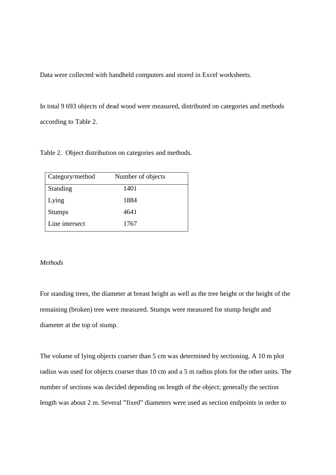Data were collected with handheld computers and stored in Excel worksheets.

In total 9 693 objects of dead wood were measured, distributed on categories and methods according to Table 2.

Table 2. Object distribution on categories and methods.

| Category/method | Number of objects |  |
|-----------------|-------------------|--|
| Standing        | 1401              |  |
| Lying           | 1884              |  |
| <b>Stumps</b>   | 4641              |  |
| Line intersect  | 1767              |  |

## *Methods*

For standing trees, the diameter at breast height as well as the tree height or the height of the remaining (broken) tree were measured. Stumps were measured for stump height and diameter at the top of stump.

The volume of lying objects coarser than 5 cm was determined by sectioning. A 10 m plot radius was used for objects coarser than 10 cm and a 5 m radius plots for the other units. The number of sections was decided depending on length of the object; generally the section length was about 2 m. Several "fixed" diameters were used as section endpoints in order to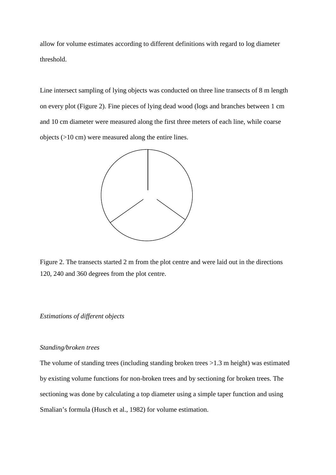allow for volume estimates according to different definitions with regard to log diameter threshold.

Line intersect sampling of lying objects was conducted on three line transects of 8 m length on every plot (Figure 2). Fine pieces of lying dead wood (logs and branches between 1 cm and 10 cm diameter were measured along the first three meters of each line, while coarse objects (>10 cm) were measured along the entire lines.



Figure 2. The transects started 2 m from the plot centre and were laid out in the directions 120, 240 and 360 degrees from the plot centre.

## *Estimations of different objects*

## *Standing/broken trees*

The volume of standing trees (including standing broken trees >1.3 m height) was estimated by existing volume functions for non-broken trees and by sectioning for broken trees. The sectioning was done by calculating a top diameter using a simple taper function and using Smalian's formula (Husch et al., 1982) for volume estimation.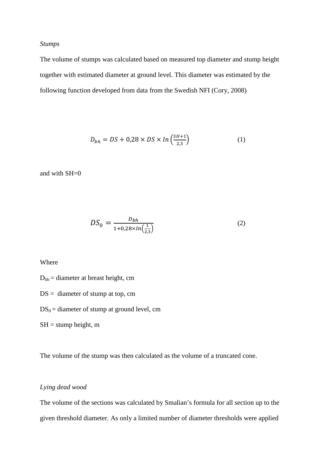## *Stumps*

The volume of stumps was calculated based on measured top diameter and stump height together with estimated diameter at ground level. This diameter was estimated by the following function developed from data from the Swedish NFI (Cory, 2008)

$$
D_{bh} = DS + 0.28 \times DS \times ln\left(\frac{SH+1}{2.3}\right) \tag{1}
$$

and with SH=0

$$
DS_0 = \frac{D_{bh}}{1 + 0.28 \times ln(\frac{1}{2.3})}
$$
 (2)

## Where

 $D_{bh}$  = diameter at breast height, cm

 $DS =$  diameter of stump at top, cm

 $DS_0 =$  diameter of stump at ground level, cm

 $SH =$  stump height, m

The volume of the stump was then calculated as the volume of a truncated cone.

## *Lying dead wood*

The volume of the sections was calculated by Smalian's formula for all section up to the given threshold diameter. As only a limited number of diameter thresholds were applied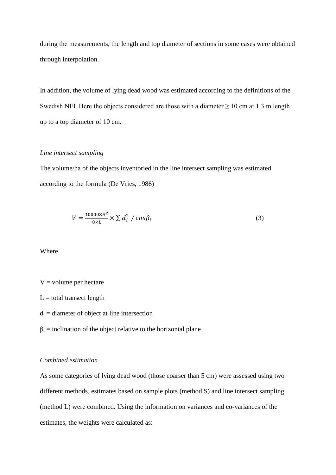during the measurements, the length and top diameter of sections in some cases were obtained through interpolation.

In addition, the volume of lying dead wood was estimated according to the definitions of the Swedish NFI. Here the objects considered are those with a diameter  $\geq 10$  cm at 1.3 m length up to a top diameter of 10 cm.

## *Line intersect sampling*

The volume/ha of the objects inventoried in the line intersect sampling was estimated according to the formula (De Vries, 1986)

$$
V = \frac{10000 \times \pi^2}{8 \times L} \times \sum d_i^2 / \cos \beta_i
$$
 (3)

Where

## $V =$  volume per hectare

 $L =$  total transect length

- $d_i$  = diameter of object at line intersection
- $\beta_i$  = inclination of the object relative to the horizontal plane

#### *Combined estimation*

As some categories of lying dead wood (those coarser than 5 cm) were assessed using two different methods, estimates based on sample plots (method S) and line intersect sampling (method L) were combined. Using the information on variances and co-variances of the estimates, the weights were calculated as: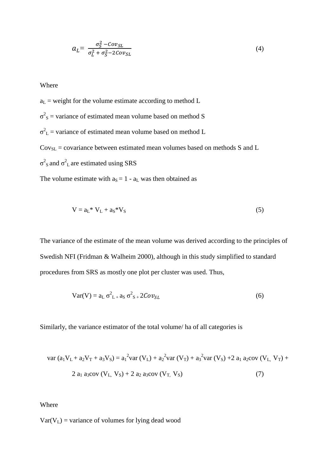$$
a_L = \frac{\sigma_S^2 - \text{Cov}_{SL}}{\sigma_L^2 + \sigma_S^2 - 2\text{Cov}_{SL}}\tag{4}
$$

Where

 $a_L$  = weight for the volume estimate according to method L  $\sigma^2$ <sub>S</sub> = variance of estimated mean volume based on method S  $\sigma_L^2$  = variance of estimated mean volume based on method L  $Cov_{SL} = covariance$  between estimated mean volumes based on methods S and L  $\sigma^2$ <sub>S</sub> and  $\sigma^2$ <sub>L</sub> are estimated using SRS

The volume estimate with  $a_S = 1 - a_L$  was then obtained as

$$
V = aL * VL + aS * VS
$$
 (5)

The variance of the estimate of the mean volume was derived according to the principles of Swedish NFI (Fridman & Walheim 2000), although in this study simplified to standard procedures from SRS as mostly one plot per cluster was used. Thus,

$$
Var(V) = aL \sigma2L+ aS \sigma2S+ 2CovSL
$$
 (6)

Similarly, the variance estimator of the total volume/ ha of all categories is

var 
$$
(a_1V_L + a_2V_T + a_3V_S) = a_1^2var(V_L) + a_2^2var(V_T) + a_3^2var(V_S) + 2 a_1 a_2cov(V_L, V_T) + 2 a_1 a_3cov(V_L, V_S) + 2 a_2 a_3cov(V_T, V_S)
$$
 (7)

Where

 $Var(V_L)$  = variance of volumes for lying dead wood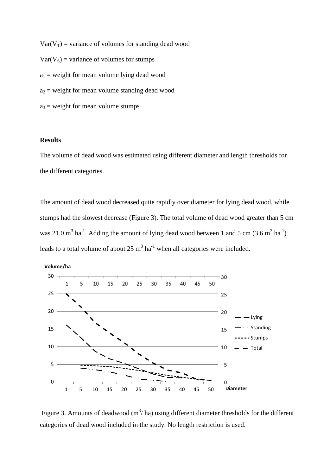$Var(V_T)$  = variance of volumes for standing dead wood  $Var(V<sub>S</sub>)$  = variance of volumes for stumps  $a_1$  = weight for mean volume lying dead wood  $a_2$  = weight for mean volume standing dead wood  $a_3$  = weight for mean volume stumps

## **Results**

The volume of dead wood was estimated using different diameter and length thresholds for the different categories.

The amount of dead wood decreased quite rapidly over diameter for lying dead wood, while stumps had the slowest decrease (Figure 3). The total volume of dead wood greater than 5 cm was 21.0 m<sup>3</sup> ha<sup>-1</sup>. Adding the amount of lying dead wood between 1 and 5 cm (3.6 m<sup>3</sup> ha<sup>-1</sup>) leads to a total volume of about  $25 \text{ m}^3 \text{ ha}^{-1}$  when all categories were included.



Figure 3. Amounts of deadwood  $(m^3/ha)$  using different diameter thresholds for the different categories of dead wood included in the study. No length restriction is used.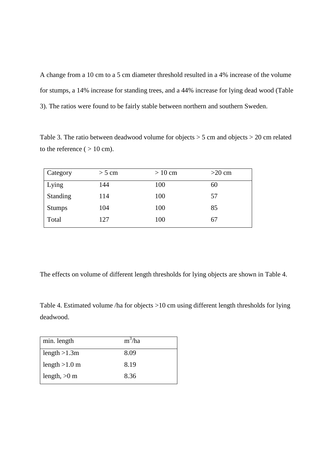A change from a 10 cm to a 5 cm diameter threshold resulted in a 4% increase of the volume for stumps, a 14% increase for standing trees, and a 44% increase for lying dead wood (Table 3). The ratios were found to be fairly stable between northern and southern Sweden.

Table 3. The ratio between deadwood volume for objects > 5 cm and objects > 20 cm related to the reference ( $> 10$  cm).

| Category | $>$ 5 cm | $> 10 \text{ cm}$ | $>20$ cm |
|----------|----------|-------------------|----------|
| Lying    | 144      | 100               | 60       |
| Standing | 114      | 100               | 57       |
| Stumps   | 104      | 100               | 85       |
| Total    | 127      | 100               | 67       |

The effects on volume of different length thresholds for lying objects are shown in Table 4.

Table 4. Estimated volume /ha for objects >10 cm using different length thresholds for lying deadwood.

| 8.09 |
|------|
| 8.19 |
| 8.36 |
|      |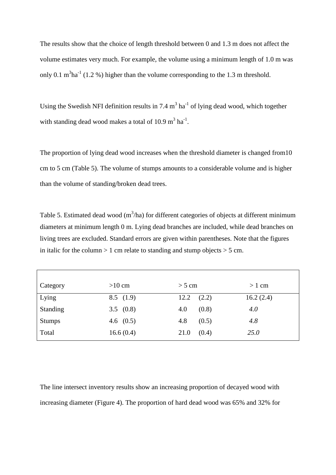The results show that the choice of length threshold between 0 and 1.3 m does not affect the volume estimates very much. For example, the volume using a minimum length of 1.0 m was only 0.1  $m<sup>3</sup>ha<sup>-1</sup>$  (1.2 %) higher than the volume corresponding to the 1.3 m threshold.

Using the Swedish NFI definition results in  $7.4 \text{ m}^3 \text{ ha}^{-1}$  of lying dead wood, which together with standing dead wood makes a total of 10.9  $m<sup>3</sup>$  ha<sup>-1</sup>.

The proportion of lying dead wood increases when the threshold diameter is changed from10 cm to 5 cm (Table 5). The volume of stumps amounts to a considerable volume and is higher than the volume of standing/broken dead trees.

Table 5. Estimated dead wood  $(m^3/ha)$  for different categories of objects at different minimum diameters at minimum length 0 m. Lying dead branches are included, while dead branches on living trees are excluded. Standard errors are given within parentheses. Note that the figures in italic for the column  $> 1$  cm relate to standing and stump objects  $> 5$  cm.

| Category        | $>10$ cm    | $> 5$ cm      | $> 1$ cm  |
|-----------------|-------------|---------------|-----------|
| Lying           | 8.5(1.9)    | 12.2<br>(2.2) | 16.2(2.4) |
| <b>Standing</b> | 3.5 $(0.8)$ | 4.0<br>(0.8)  | 4.0       |
| <b>Stumps</b>   | 4.6 $(0.5)$ | 4.8<br>(0.5)  | 4.8       |
| Total           | 16.6(0.4)   | (0.4)<br>21.0 | 25.0      |

The line intersect inventory results show an increasing proportion of decayed wood with increasing diameter (Figure 4). The proportion of hard dead wood was 65% and 32% for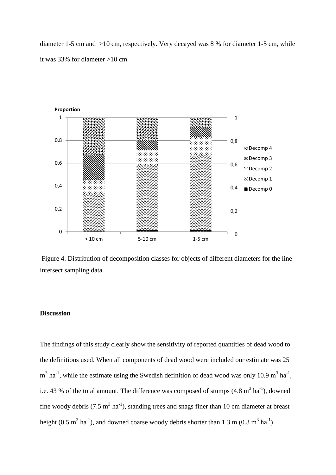diameter 1-5 cm and >10 cm, respectively. Very decayed was 8 % for diameter 1-5 cm, while it was 33% for diameter >10 cm.



Figure 4. Distribution of decomposition classes for objects of different diameters for the line intersect sampling data.

## **Discussion**

The findings of this study clearly show the sensitivity of reported quantities of dead wood to the definitions used. When all components of dead wood were included our estimate was 25  $m<sup>3</sup>$  ha<sup>-1</sup>, while the estimate using the Swedish definition of dead wood was only 10.9 m<sup>3</sup> ha<sup>-1</sup>, i.e. 43 % of the total amount. The difference was composed of stumps  $(4.8 \text{ m}^3 \text{ ha}^{-1})$ , downed fine woody debris (7.5  $m^3$  ha<sup>-1</sup>), standing trees and snags finer than 10 cm diameter at breast height (0.5 m<sup>3</sup> ha<sup>-1</sup>), and downed coarse woody debris shorter than 1.3 m (0.3 m<sup>3</sup> ha<sup>-1</sup>).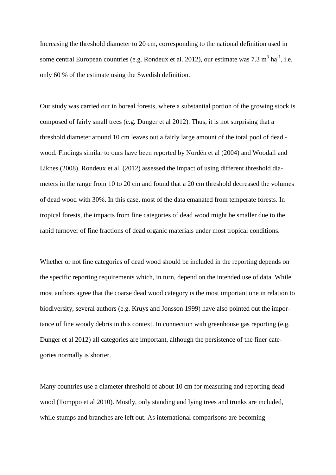Increasing the threshold diameter to 20 cm, corresponding to the national definition used in some central European countries (e.g. Rondeux et al. 2012), our estimate was  $7.3 \text{ m}^3 \text{ ha}^{-1}$ , i.e. only 60 % of the estimate using the Swedish definition.

Our study was carried out in boreal forests, where a substantial portion of the growing stock is composed of fairly small trees (e.g. Dunger et al 2012). Thus, it is not surprising that a threshold diameter around 10 cm leaves out a fairly large amount of the total pool of dead wood. Findings similar to ours have been reported by Nordén et al (2004) and Woodall and Liknes (2008). Rondeux et al. (2012) assessed the impact of using different threshold diameters in the range from 10 to 20 cm and found that a 20 cm threshold decreased the volumes of dead wood with 30%. In this case, most of the data emanated from temperate forests. In tropical forests, the impacts from fine categories of dead wood might be smaller due to the rapid turnover of fine fractions of dead organic materials under most tropical conditions.

Whether or not fine categories of dead wood should be included in the reporting depends on the specific reporting requirements which, in turn, depend on the intended use of data. While most authors agree that the coarse dead wood category is the most important one in relation to biodiversity, several authors (e.g. Kruys and Jonsson 1999) have also pointed out the importance of fine woody debris in this context. In connection with greenhouse gas reporting (e.g. Dunger et al 2012) all categories are important, although the persistence of the finer categories normally is shorter.

Many countries use a diameter threshold of about 10 cm for measuring and reporting dead wood (Tomppo et al 2010). Mostly, only standing and lying trees and trunks are included, while stumps and branches are left out. As international comparisons are becoming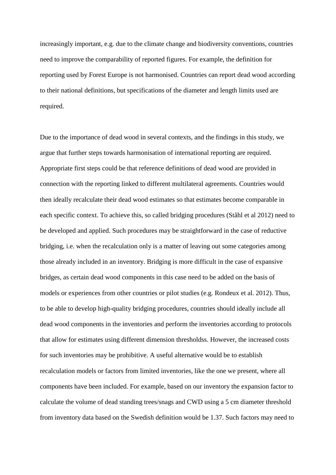increasingly important, e.g. due to the climate change and biodiversity conventions, countries need to improve the comparability of reported figures. For example, the definition for reporting used by Forest Europe is not harmonised. Countries can report dead wood according to their national definitions, but specifications of the diameter and length limits used are required.

Due to the importance of dead wood in several contexts, and the findings in this study, we argue that further steps towards harmonisation of international reporting are required. Appropriate first steps could be that reference definitions of dead wood are provided in connection with the reporting linked to different multilateral agreements. Countries would then ideally recalculate their dead wood estimates so that estimates become comparable in each specific context. To achieve this, so called bridging procedures (Ståhl et al 2012) need to be developed and applied. Such procedures may be straightforward in the case of reductive bridging, i.e. when the recalculation only is a matter of leaving out some categories among those already included in an inventory. Bridging is more difficult in the case of expansive bridges, as certain dead wood components in this case need to be added on the basis of models or experiences from other countries or pilot studies (e.g. Rondeux et al. 2012). Thus, to be able to develop high-quality bridging procedures, countries should ideally include all dead wood components in the inventories and perform the inventories according to protocols that allow for estimates using different dimension thresholdss. However, the increased costs for such inventories may be prohibitive. A useful alternative would be to establish recalculation models or factors from limited inventories, like the one we present, where all components have been included. For example, based on our inventory the expansion factor to calculate the volume of dead standing trees/snags and CWD using a 5 cm diameter threshold from inventory data based on the Swedish definition would be 1.37. Such factors may need to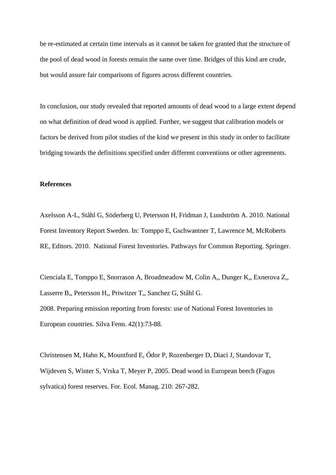be re-estimated at certain time intervals as it cannot be taken for granted that the structure of the pool of dead wood in forests remain the same over time. Bridges of this kind are crude, but would assure fair comparisons of figures across different countries.

In conclusion, our study revealed that reported amounts of dead wood to a large extent depend on what definition of dead wood is applied. Further, we suggest that calibration models or factors be derived from pilot studies of the kind we present in this study in order to facilitate bridging towards the definitions specified under different conventions or other agreements.

## **References**

Axelsson A-L, Ståhl G, Söderberg U, Petersson H, Fridman J, Lundström A. 2010. National Forest Inventory Report Sweden. In: Tomppo E, Gschwantner T, Lawrence M, McRoberts RE, Editors. 2010. National Forest Inventories. Pathways for Common Reporting. Springer.

Cienciala E, Tomppo E, Snorrason A, Broadmeadow M, Colin A,, Dunger K,, Exnerova Z,, Lasserre B,, Petersson H,, Priwitzer T,, Sanchez G, Ståhl G. 2008. Preparing emission reporting from forests: use of National Forest Inventories in European countries. Silva Fenn. 42(1):73-88.

Christensen M, Hahn K, Mountford E, Ódor P, Rozenberger D, Diaci J, Standovar T, Wijdeven S, Winter S, Vrska T, Meyer P, 2005. Dead wood in European beech (Fagus sylvatica) forest reserves. For. Ecol. Manag. 210: 267-282.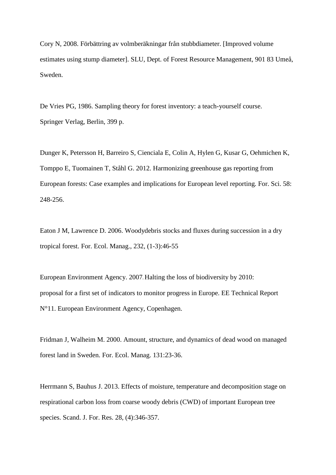Cory N, 2008. Förbättring av volmberäkningar från stubbdiameter. [Improved volume estimates using stump diameter]. SLU, Dept. of Forest Resource Management, 901 83 Umeå, Sweden.

De Vries PG, 1986. Sampling theory for forest inventory: a teach-yourself course. Springer Verlag, Berlin, 399 p.

Dunger K, Petersson H, Barreiro S, Cienciala E, Colin A, Hylen G, Kusar G, Oehmichen K, Tomppo E, Tuomainen T, Ståhl G. 2012. Harmonizing greenhouse gas reporting from European forests: Case examples and implications for European level reporting*.* For. Sci. 58: 248-256.

Eaton J M, Lawrence D. 2006. Woodydebris stocks and fluxes during succession in a dry tropical forest. For. Ecol. Manag., 232, (1-3):46-55

European Environment Agency. 2007. Halting the loss of biodiversity by 2010: proposal for a first set of indicators to monitor progress in Europe. EE Technical Report N°11. European Environment Agency, Copenhagen.

Fridman J, Walheim M. 2000. Amount, structure, and dynamics of dead wood on managed forest land in Sweden. For. Ecol. Manag. 131:23-36.

Herrmann S, Bauhus J. 2013. Effects of moisture, temperature and decomposition stage on respirational carbon loss from coarse woody debris (CWD) of important European tree species. Scand. J. For. Res. 28, (4):346-357.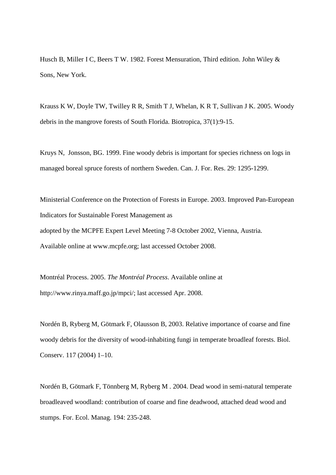Husch B, Miller I C, Beers T W. 1982. Forest Mensuration, Third edition. John Wiley & Sons, New York.

Krauss K W, Doyle TW, Twilley R R, Smith T J, Whelan, K R T, Sullivan J K. 2005. Woody debris in the mangrove forests of South Florida. Biotropica, 37(1):9-15.

Kruys N, Jonsson, BG. 1999. Fine woody debris is important for species richness on logs in managed boreal spruce forests of northern Sweden. Can. J. For. Res. 29: 1295-1299.

Ministerial Conference on the Protection of Forests in Europe. 2003. Improved Pan-European Indicators for Sustainable Forest Management as adopted by the MCPFE Expert Level Meeting 7-8 October 2002, Vienna, Austria. Available online at www.mcpfe.org; last accessed October 2008.

Montréal Process. 2005. *The Montréal Process*. Available online at http://www.rinya.maff.go.jp/mpci/; last accessed Apr. 2008.

Nordén B, Ryberg M, Götmark F, Olausson B, 2003. Relative importance of coarse and fine woody debris for the diversity of wood-inhabiting fungi in temperate broadleaf forests. Biol. Conserv. 117 (2004) 1–10.

Nordén B, Götmark F, Tönnberg M, Ryberg M . 2004. Dead wood in semi-natural temperate broadleaved woodland: contribution of coarse and fine deadwood, attached dead wood and stumps. For. Ecol. Manag. 194: 235-248.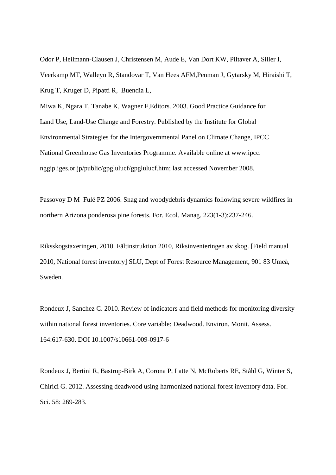Odor P, Heilmann-Clausen J, Christensen M, Aude E, Van Dort KW, Piltaver A, Siller I, Veerkamp MT, Walleyn R, Standovar T, Van Hees AFM,Penman J, Gytarsky M, Hiraishi T, Krug T, Kruger D, Pipatti R, Buendia L,

Miwa K, Ngara T, Tanabe K, Wagner F,Editors. 2003. Good Practice Guidance for Land Use, Land-Use Change and Forestry. Published by the Institute for Global Environmental Strategies for the Intergovernmental Panel on Climate Change, IPCC National Greenhouse Gas Inventories Programme. Available online at www.ipcc. nggip.iges.or.jp/public/gpglulucf/gpglulucf.htm; last accessed November 2008.

Passovoy D M Fulé PZ 2006. Snag and woodydebris dynamics following severe wildfires in northern Arizona ponderosa pine forests. For. Ecol. Manag. 223(1-3):237-246.

Riksskogstaxeringen, 2010. Fältinstruktion 2010, Riksinventeringen av skog. [Field manual 2010, National forest inventory] SLU, Dept of Forest Resource Management, 901 83 Umeå, Sweden.

Rondeux J, Sanchez C. 2010. Review of indicators and field methods for monitoring diversity within national forest inventories. Core variable: Deadwood. Environ. Monit. Assess. 164:617-630. DOI 10.1007/s10661-009-0917-6

Rondeux J, Bertini R, Bastrup-Birk A, Corona P, Latte N, McRoberts RE, Ståhl G, Winter S, Chirici G. 2012. Assessing deadwood using harmonized national forest inventory data. For. Sci. 58: 269-283.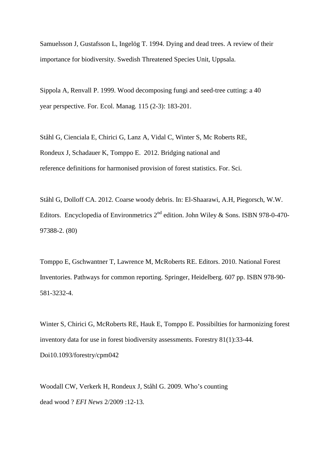Samuelsson J, Gustafsson L, Ingelög T. 1994. Dying and dead trees. A review of their importance for biodiversity. Swedish Threatened Species Unit, Uppsala.

Sippola A, Renvall P. 1999. Wood decomposing fungi and seed-tree cutting: a 40 year perspective. For. Ecol. Manag*.* 115 (2-3): 183-201.

Ståhl G, Cienciala E, Chirici G, Lanz A, Vidal C, Winter S, Mc Roberts RE, Rondeux J, Schadauer K, Tomppo E. 2012. Bridging national and reference definitions for harmonised provision of forest statistics. For. Sci.

Ståhl G, Dolloff CA. 2012. Coarse woody debris. In: El-Shaarawi, A.H, Piegorsch, W.W. Editors. Encyclopedia of Environmetrics  $2^{nd}$  edition. John Wiley & Sons. ISBN 978-0-470-97388-2. (80)

Tomppo E, Gschwantner T, Lawrence M, McRoberts RE. Editors. 2010. National Forest Inventories. Pathways for common reporting. Springer, Heidelberg. 607 pp. ISBN 978-90- 581-3232-4.

Winter S, Chirici G, McRoberts RE, Hauk E, Tomppo E. Possibilties for harmonizing forest inventory data for use in forest biodiversity assessments. Forestry 81(1):33-44. Doi10.1093/forestry/cpm042

Woodall CW, Verkerk H, Rondeux J, Ståhl G. 2009. Who's counting dead wood ? *EFI News* 2/2009 :12-13.